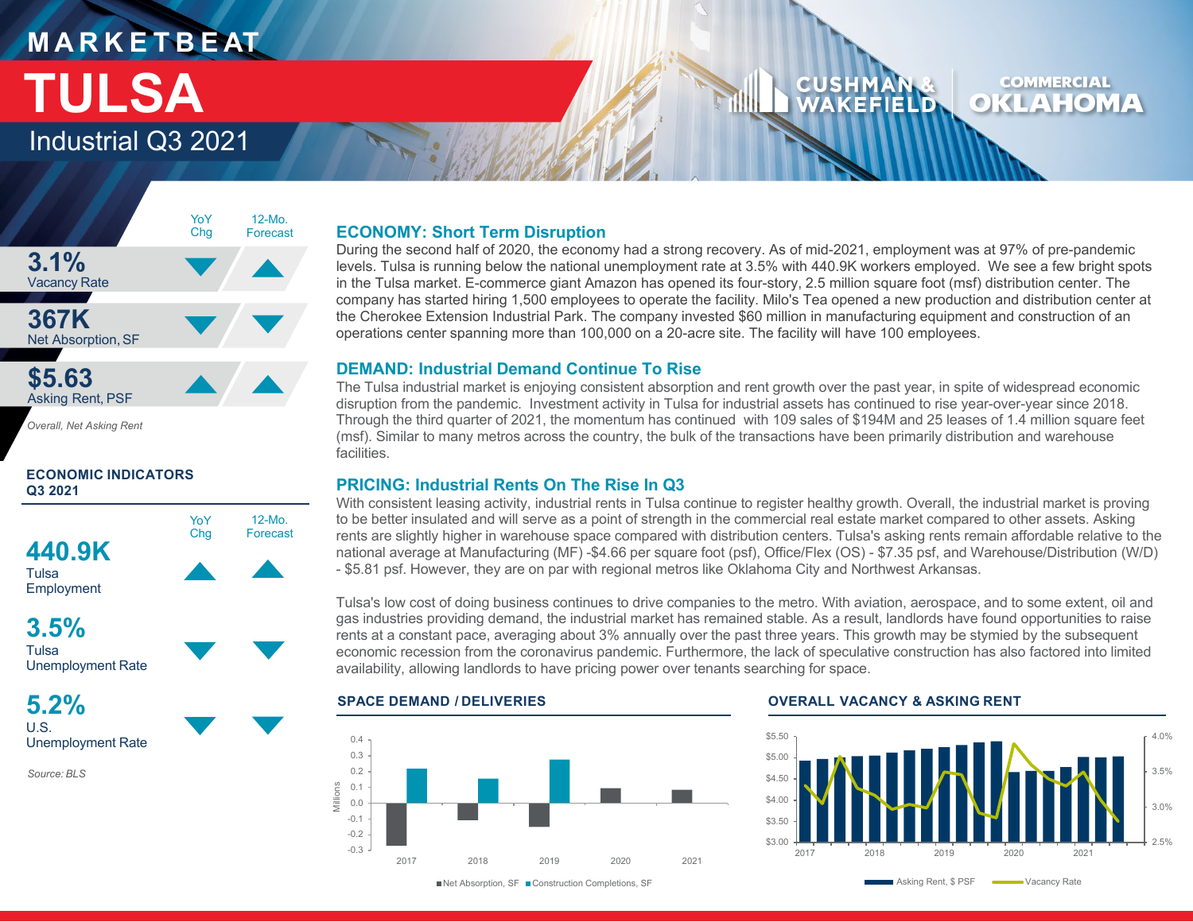# **M A R K E T B E AT TULSA**

Industrial Q3 2021

### **COMMERCIAL CUSHM** OKLAHOMA WAKEFIELD



*Overall, Net Asking Rent*

### **ECONOMIC INDICATORS Q3 2021**





**5.2%** U.S. Unemployment Rate

*Source: BLS*

### **ECONOMY: Short Term Disruption**

During the second half of 2020, the economy had a strong recovery. As of mid-2021, employment was at 97% of pre-pandemic levels. Tulsa is running below the national unemployment rate at 3.5% with 440.9K workers employed. We see a few bright spots in the Tulsa market. E-commerce giant Amazon has opened its four-story, 2.5 million square foot (msf) distribution center. The company has started hiring 1,500 employees to operate the facility. Milo's Tea opened a new production and distribution center at the Cherokee Extension Industrial Park. The company invested \$60 million in manufacturing equipment and construction of an operations center spanning more than 100,000 on a 20-acre site. The facility will have 100 employees.

### **DEMAND: Industrial Demand Continue To Rise**

The Tulsa industrial market is enjoying consistent absorption and rent growth over the past year, in spite of widespread economic disruption from the pandemic. Investment activity in Tulsa for industrial assets has continued to rise year-over-year since 2018. Through the third quarter of 2021, the momentum has continued with 109 sales of \$194M and 25 leases of 1.4 million square feet (msf). Similar to many metros across the country, the bulk of the transactions have been primarily distribution and warehouse facilities.

### **PRICING: Industrial Rents On The Rise In Q3**

With consistent leasing activity, industrial rents in Tulsa continue to register healthy growth. Overall, the industrial market is proving to be better insulated and will serve as a point of strength in the commercial real estate market compared to other assets. Asking rents are slightly higher in warehouse space compared with distribution centers. Tulsa's asking rents remain affordable relative to the national average at Manufacturing (MF) -\$4.66 per square foot (psf), Office/Flex (OS) - \$7.35 psf, and Warehouse/Distribution (W/D) - \$5.81 psf. However, they are on par with regional metros like Oklahoma City and Northwest Arkansas.

Tulsa's low cost of doing business continues to drive companies to the metro. With aviation, aerospace, and to some extent, oil and gas industries providing demand, the industrial market has remained stable. As a result, landlords have found opportunities to raise rents at a constant pace, averaging about 3% annually over the past three years. This growth may be stymied by the subsequent economic recession from the coronavirus pandemic. Furthermore, the lack of speculative construction has also factored into limited availability, allowing landlords to have pricing power over tenants searching for space.



**SPACE DEMAND / DELIVERIES OVERALL VACANCY & ASKING RENT**



Net Absorption, SF Construction Completions, SF